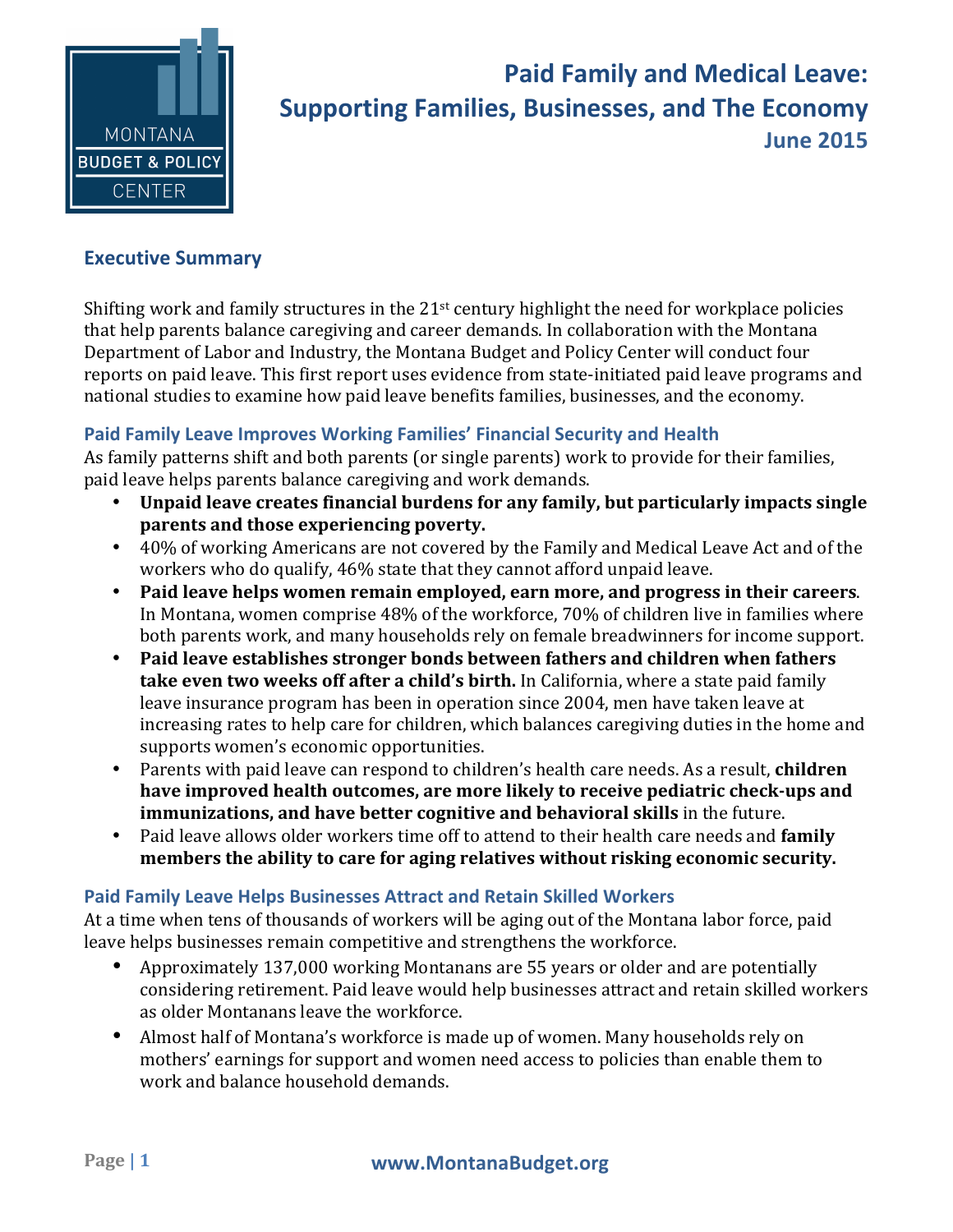

# **Paid Family and Medical Leave: Supporting Families, Businesses, and The Economy** Date **June 2015**

## **Executive Summary**

Shifting work and family structures in the  $21<sup>st</sup>$  century highlight the need for workplace policies that help parents balance caregiving and career demands. In collaboration with the Montana Department of Labor and Industry, the Montana Budget and Policy Center will conduct four reports on paid leave. This first report uses evidence from state-initiated paid leave programs and national studies to examine how paid leave benefits families, businesses, and the economy.

#### **Paid Family Leave Improves Working Families' Financial Security and Health**

As family patterns shift and both parents (or single parents) work to provide for their families, paid leave helps parents balance caregiving and work demands.

- Unpaid leave creates financial burdens for any family, but particularly impacts single **parents and those experiencing poverty.**
- 40% of working Americans are not covered by the Family and Medical Leave Act and of the workers who do qualify, 46% state that they cannot afford unpaid leave.
- Paid leave helps women remain employed, earn more, and progress in their careers. In Montana, women comprise  $48\%$  of the workforce,  $70\%$  of children live in families where both parents work, and many households rely on female breadwinners for income support.
- Paid leave establishes stronger bonds between fathers and children when fathers **take even two weeks off after a child's birth.** In California, where a state paid family leave insurance program has been in operation since 2004, men have taken leave at increasing rates to help care for children, which balances caregiving duties in the home and supports women's economic opportunities.
- Parents with paid leave can respond to children's health care needs. As a result, **children** have improved health outcomes, are more likely to receive pediatric check-ups and **immunizations, and have better cognitive and behavioral skills** in the future.
- Paid leave allows older workers time off to attend to their health care needs and **family members the ability to care for aging relatives without risking economic security.**

#### **Paid Family Leave Helps Businesses Attract and Retain Skilled Workers**

At a time when tens of thousands of workers will be aging out of the Montana labor force, paid leave helps businesses remain competitive and strengthens the workforce.

- Approximately 137,000 working Montanans are 55 years or older and are potentially considering retirement. Paid leave would help businesses attract and retain skilled workers as older Montanans leave the workforce.
- Almost half of Montana's workforce is made up of women. Many households rely on mothers' earnings for support and women need access to policies than enable them to work and balance household demands.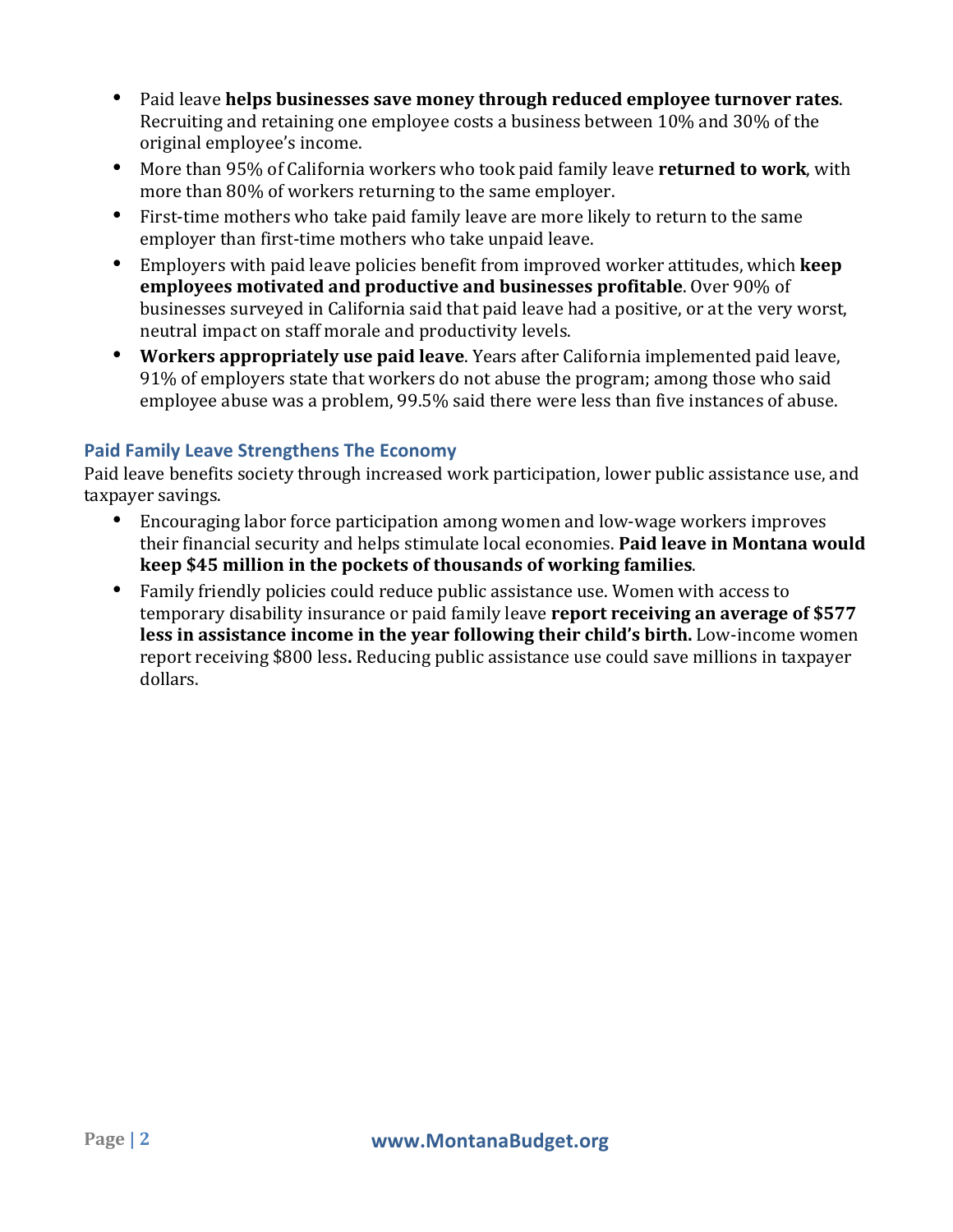- Paid leave **helps businesses save money through reduced employee turnover rates.** Recruiting and retaining one employee costs a business between 10% and 30% of the original employee's income.
- More than 95% of California workers who took paid family leave **returned to work**, with more than 80% of workers returning to the same employer.
- First-time mothers who take paid family leave are more likely to return to the same employer than first-time mothers who take unpaid leave.
- Employers with paid leave policies benefit from improved worker attitudes, which **keep employees motivated and productive and businesses profitable**. Over 90% of businesses surveyed in California said that paid leave had a positive, or at the very worst, neutral impact on staff morale and productivity levels.
- Workers appropriately use paid leave. Years after California implemented paid leave, 91% of employers state that workers do not abuse the program; among those who said employee abuse was a problem, 99.5% said there were less than five instances of abuse.

### **Paid Family Leave Strengthens The Economy**

Paid leave benefits society through increased work participation, lower public assistance use, and taxpayer savings.

- Encouraging labor force participation among women and low-wage workers improves their financial security and helps stimulate local economies. **Paid leave in Montana would keep \$45 million in the pockets of thousands of working families.**
- Family friendly policies could reduce public assistance use. Women with access to temporary disability insurance or paid family leave **report receiving an average of \$577 less in assistance income in the year following their child's birth.** Low-income women report receiving \$800 less. Reducing public assistance use could save millions in taxpayer dollars.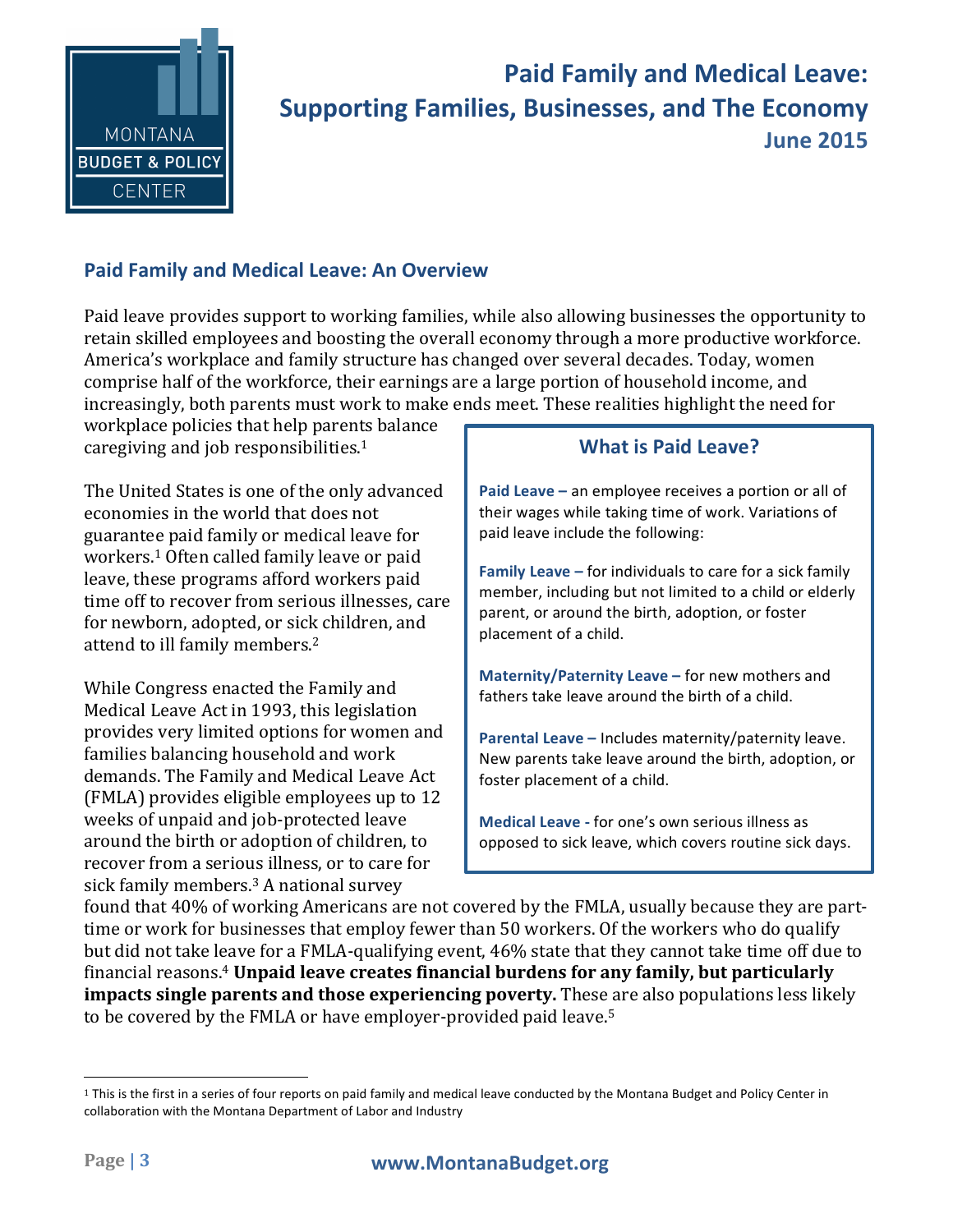

## **Paid Family and Medical Leave: Supporting Families, Businesses, and The Economy** Date **June 2015**

## **Paid Family and Medical Leave: An Overview**

Paid leave provides support to working families, while also allowing businesses the opportunity to retain skilled employees and boosting the overall economy through a more productive workforce. America's workplace and family structure has changed over several decades. Today, women comprise half of the workforce, their earnings are a large portion of household income, and increasingly, both parents must work to make ends meet. These realities highlight the need for

workplace policies that help parents balance caregiving and job responsibilities. $1$ 

The United States is one of the only advanced economies in the world that does not guarantee paid family or medical leave for workers.<sup>1</sup> Often called family leave or paid leave, these programs afford workers paid time off to recover from serious illnesses, care for newborn, adopted, or sick children, and attend to ill family members.<sup>2</sup>

While Congress enacted the Family and Medical Leave Act in 1993, this legislation provides very limited options for women and families balancing household and work demands. The Family and Medical Leave Act (FMLA) provides eligible employees up to 12 weeks of unpaid and job-protected leave around the birth or adoption of children, to recover from a serious illness, or to care for sick family members.<sup>3</sup> A national survey

## **What is Paid Leave?**

**Paid Leave** – an employee receives a portion or all of their wages while taking time of work. Variations of paid leave include the following:

**Family Leave** – for individuals to care for a sick family member, including but not limited to a child or elderly parent, or around the birth, adoption, or foster placement of a child.

**Maternity/Paternity Leave – for new mothers and** fathers take leave around the birth of a child.

**Parental Leave - Includes maternity/paternity leave.** New parents take leave around the birth, adoption, or foster placement of a child.

**Medical Leave - for one's own serious illness as** opposed to sick leave, which covers routine sick days.

found that 40% of working Americans are not covered by the FMLA, usually because they are parttime or work for businesses that employ fewer than 50 workers. Of the workers who do qualify but did not take leave for a FMLA-qualifying event, 46% state that they cannot take time off due to financial reasons.<sup>4</sup> **Unpaid leave creates financial burdens for any family, but particularly impacts single parents and those experiencing poverty.** These are also populations less likely to be covered by the FMLA or have employer-provided paid leave. $^{\rm 5}$ 

 

 $1$  This is the first in a series of four reports on paid family and medical leave conducted by the Montana Budget and Policy Center in collaboration with the Montana Department of Labor and Industry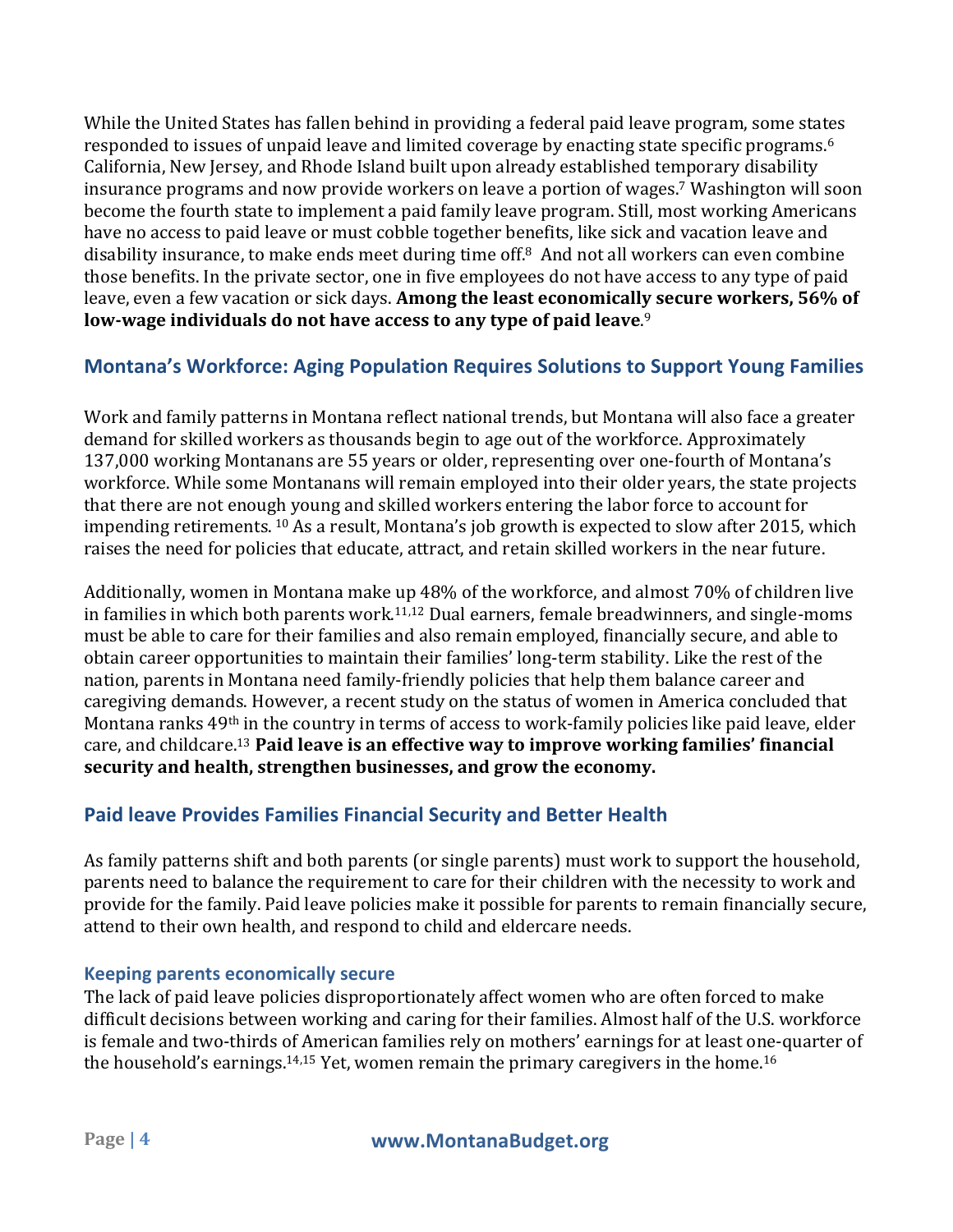While the United States has fallen behind in providing a federal paid leave program, some states responded to issues of unpaid leave and limited coverage by enacting state specific programs.<sup>6</sup> California, New Jersey, and Rhode Island built upon already established temporary disability insurance programs and now provide workers on leave a portion of wages.<sup>7</sup> Washington will soon become the fourth state to implement a paid family leave program. Still, most working Americans have no access to paid leave or must cobble together benefits, like sick and vacation leave and disability insurance, to make ends meet during time off. $8$  And not all workers can even combine those benefits. In the private sector, one in five employees do not have access to any type of paid leave, even a few vacation or sick days. Among the least economically secure workers, 56% of low-wage individuals do not have access to any type of paid leave.<sup>9</sup>

## **Montana's Workforce: Aging Population Requires Solutions to Support Young Families**

Work and family patterns in Montana reflect national trends, but Montana will also face a greater demand for skilled workers as thousands begin to age out of the workforce. Approximately 137,000 working Montanans are 55 years or older, representing over one-fourth of Montana's workforce. While some Montanans will remain employed into their older years, the state projects that there are not enough young and skilled workers entering the labor force to account for impending retirements. <sup>10</sup> As a result, Montana's job growth is expected to slow after 2015, which raises the need for policies that educate, attract, and retain skilled workers in the near future.

Additionally, women in Montana make up 48% of the workforce, and almost 70% of children live in families in which both parents work.<sup>11,12</sup> Dual earners, female breadwinners, and single-moms must be able to care for their families and also remain employed, financially secure, and able to obtain career opportunities to maintain their families' long-term stability. Like the rest of the nation, parents in Montana need family-friendly policies that help them balance career and caregiving demands. However, a recent study on the status of women in America concluded that Montana ranks 49<sup>th</sup> in the country in terms of access to work-family policies like paid leave, elder care, and childcare.<sup>13</sup> Paid leave is an effective way to improve working families' financial security and health, strengthen businesses, and grow the economy.

## **Paid leave Provides Families Financial Security and Better Health**

As family patterns shift and both parents (or single parents) must work to support the household, parents need to balance the requirement to care for their children with the necessity to work and provide for the family. Paid leave policies make it possible for parents to remain financially secure, attend to their own health, and respond to child and eldercare needs.

#### **Keeping parents economically secure**

The lack of paid leave policies disproportionately affect women who are often forced to make difficult decisions between working and caring for their families. Almost half of the U.S. workforce is female and two-thirds of American families rely on mothers' earnings for at least one-quarter of the household's earnings.<sup>14,15</sup> Yet, women remain the primary caregivers in the home.<sup>16</sup>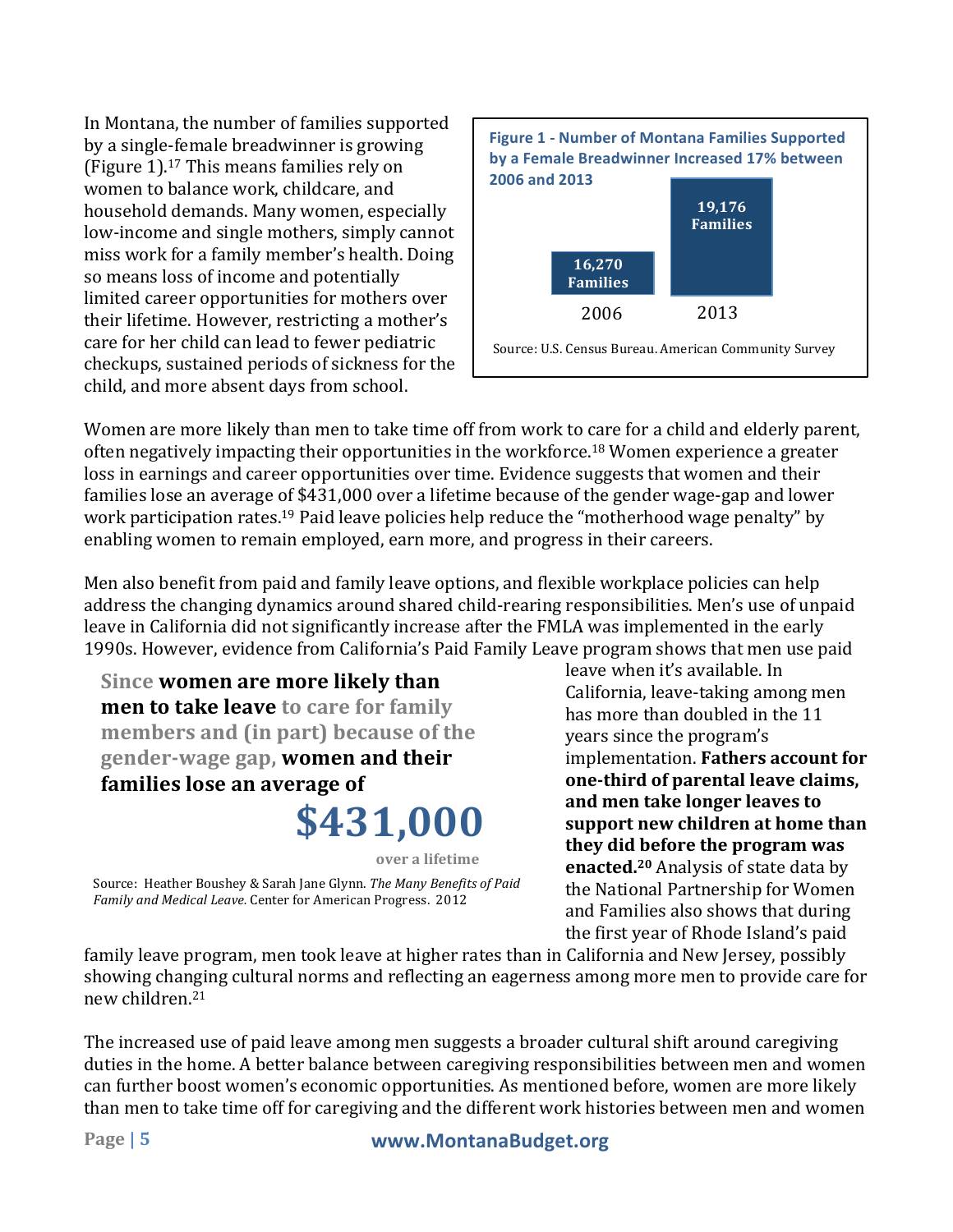In Montana, the number of families supported by a single-female breadwinner is growing (Figure  $1$ ).<sup>17</sup> This means families rely on women to balance work, childcare, and household demands. Many women, especially low-income and single mothers, simply cannot miss work for a family member's health. Doing so means loss of income and potentially limited career opportunities for mothers over their lifetime. However, restricting a mother's care for her child can lead to fewer pediatric checkups, sustained periods of sickness for the child, and more absent days from school.



Women are more likely than men to take time off from work to care for a child and elderly parent, often negatively impacting their opportunities in the workforce.<sup>18</sup> Women experience a greater loss in earnings and career opportunities over time. Evidence suggests that women and their families lose an average of \$431,000 over a lifetime because of the gender wage-gap and lower work participation rates.<sup>19</sup> Paid leave policies help reduce the "motherhood wage penalty" by enabling women to remain employed, earn more, and progress in their careers.

Men also benefit from paid and family leave options, and flexible workplace policies can help address the changing dynamics around shared child-rearing responsibilities. Men's use of unpaid leave in California did not significantly increase after the FMLA was implemented in the early 1990s. However, evidence from California's Paid Family Leave program shows that men use paid

**\$431,000 Since women are more likely than men to take leave to care for family members and (in part) because of the** gender-wage gap, women and their **families lose an average of** 

Source: Heather Boushey & Sarah Jane Glynn. The Many Benefits of Paid Family and Medical Leave. Center for American Progress. 2012 **over a lifetime**

leave when it's available. In California, leave-taking among men has more than doubled in the 11 years since the program's implementation. **Fathers account for one-third of parental leave claims. and men take longer leaves to**  support new children at home than **they did before the program was enacted.**<sup>20</sup> Analysis of state data by the National Partnership for Women and Families also shows that during the first year of Rhode Island's paid

family leave program, men took leave at higher rates than in California and New Jersey, possibly showing changing cultural norms and reflecting an eagerness among more men to provide care for new children.<sup>21</sup>

The increased use of paid leave among men suggests a broader cultural shift around caregiving duties in the home. A better balance between caregiving responsibilities between men and women can further boost women's economic opportunities. As mentioned before, women are more likely than men to take time off for caregiving and the different work histories between men and women

### **Page | 5 www.MontanaBudget.org**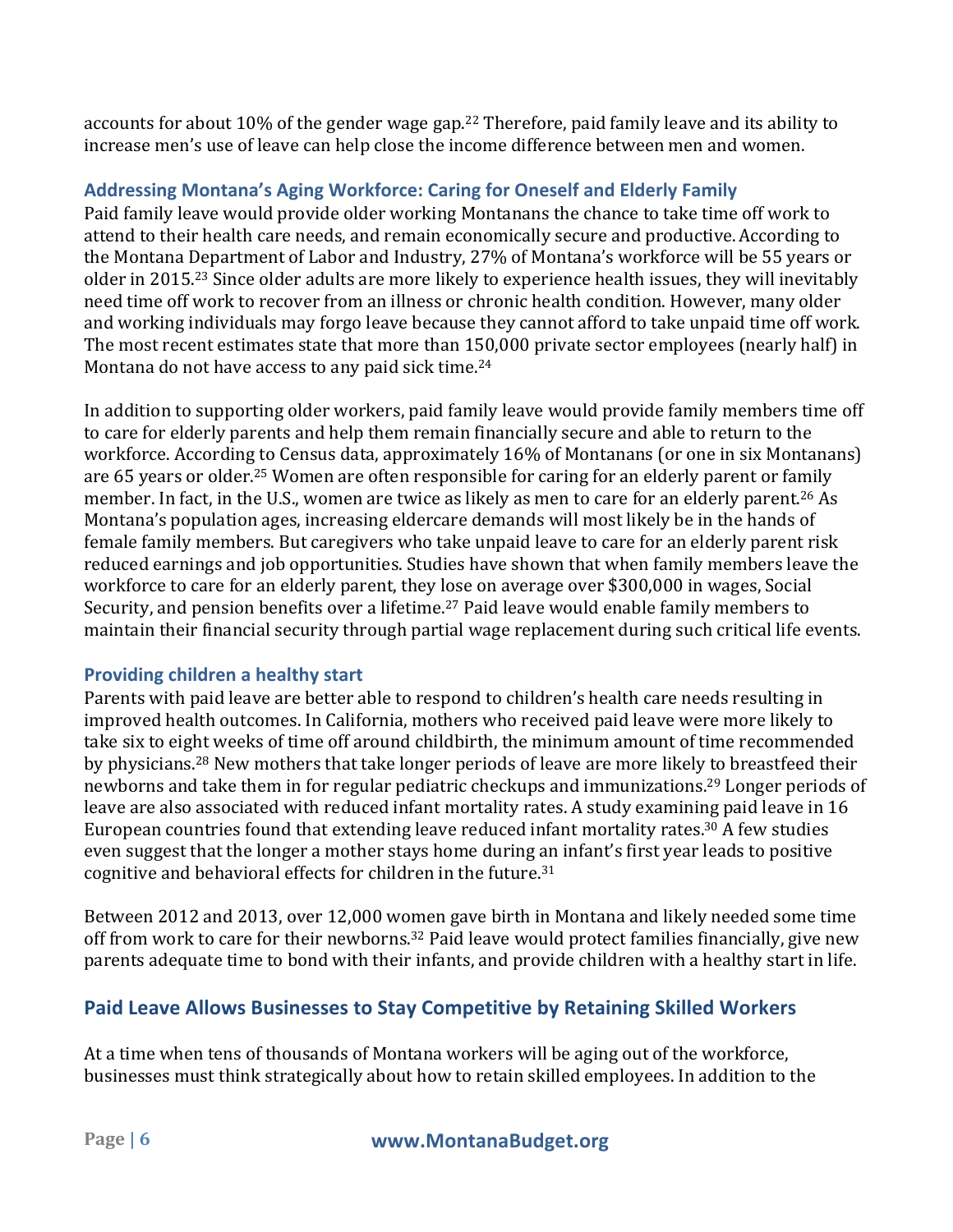accounts for about 10% of the gender wage gap.<sup>22</sup> Therefore, paid family leave and its ability to increase men's use of leave can help close the income difference between men and women.

## **Addressing Montana's Aging Workforce: Caring for Oneself and Elderly Family**

Paid family leave would provide older working Montanans the chance to take time off work to attend to their health care needs, and remain economically secure and productive. According to the Montana Department of Labor and Industry, 27% of Montana's workforce will be 55 years or older in 2015.<sup>23</sup> Since older adults are more likely to experience health issues, they will inevitably need time off work to recover from an illness or chronic health condition. However, many older and working individuals may forgo leave because they cannot afford to take unpaid time off work. The most recent estimates state that more than 150,000 private sector employees (nearly half) in Montana do not have access to any paid sick time.<sup>24</sup>

In addition to supporting older workers, paid family leave would provide family members time off to care for elderly parents and help them remain financially secure and able to return to the workforce. According to Census data, approximately 16% of Montanans (or one in six Montanans) are 65 years or older.<sup>25</sup> Women are often responsible for caring for an elderly parent or family member. In fact, in the U.S., women are twice as likely as men to care for an elderly parent.<sup>26</sup> As Montana's population ages, increasing eldercare demands will most likely be in the hands of female family members. But caregivers who take unpaid leave to care for an elderly parent risk reduced earnings and job opportunities. Studies have shown that when family members leave the workforce to care for an elderly parent, they lose on average over \$300,000 in wages, Social Security, and pension benefits over a lifetime.<sup>27</sup> Paid leave would enable family members to maintain their financial security through partial wage replacement during such critical life events.

### **Providing children a healthy start**

Parents with paid leave are better able to respond to children's health care needs resulting in improved health outcomes. In California, mothers who received paid leave were more likely to take six to eight weeks of time off around childbirth, the minimum amount of time recommended by physicians.<sup>28</sup> New mothers that take longer periods of leave are more likely to breastfeed their newborns and take them in for regular pediatric checkups and immunizations.<sup>29</sup> Longer periods of leave are also associated with reduced infant mortality rates. A study examining paid leave in 16 European countries found that extending leave reduced infant mortality rates.<sup>30</sup> A few studies even suggest that the longer a mother stays home during an infant's first year leads to positive cognitive and behavioral effects for children in the future.<sup>31</sup>

Between 2012 and 2013, over 12,000 women gave birth in Montana and likely needed some time off from work to care for their newborns.<sup>32</sup> Paid leave would protect families financially, give new parents adequate time to bond with their infants, and provide children with a healthy start in life.

## **Paid Leave Allows Businesses to Stay Competitive by Retaining Skilled Workers**

At a time when tens of thousands of Montana workers will be aging out of the workforce, businesses must think strategically about how to retain skilled employees. In addition to the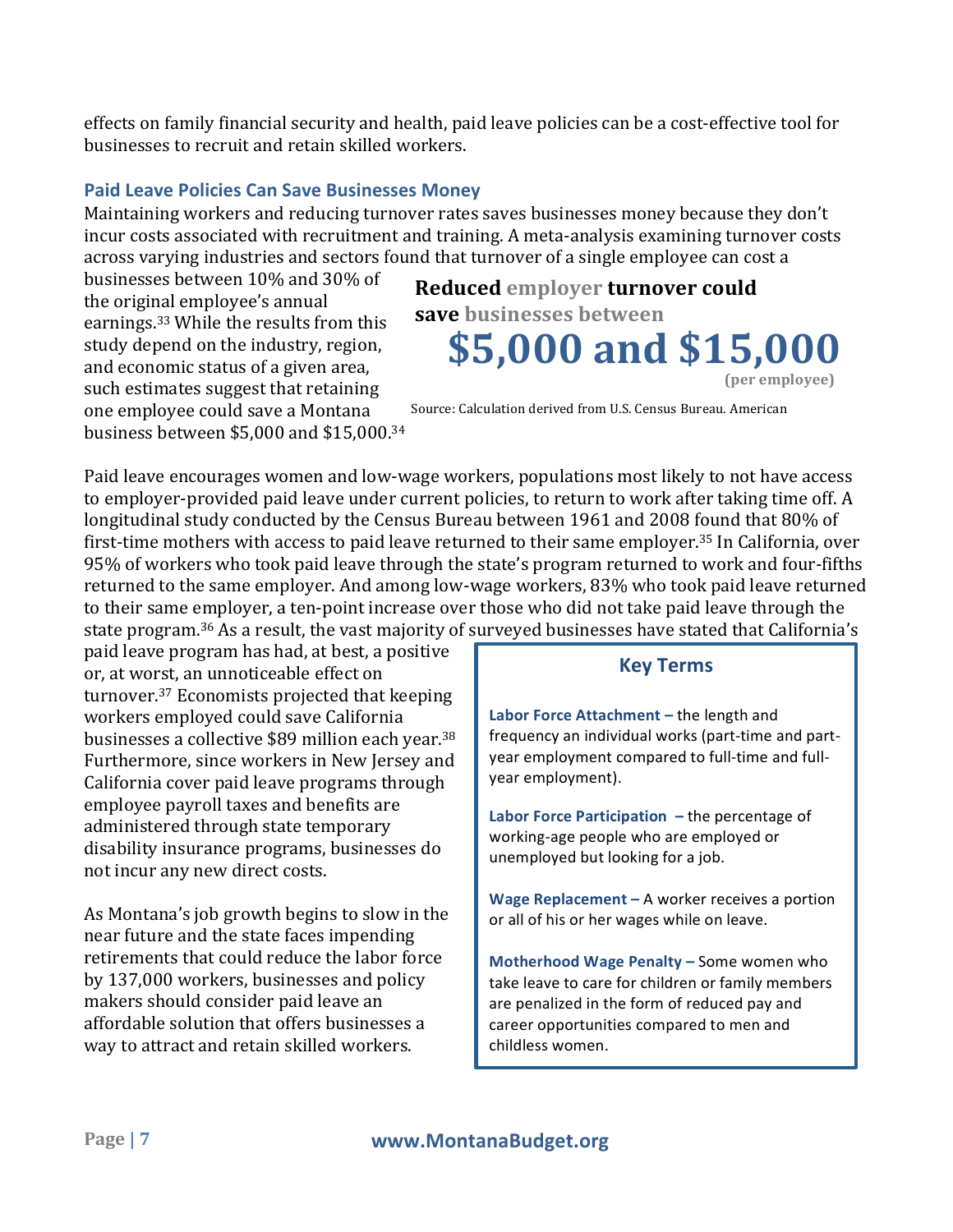effects on family financial security and health, paid leave policies can be a cost-effective tool for businesses to recruit and retain skilled workers.

#### **Paid Leave Policies Can Save Businesses Money**

Maintaining workers and reducing turnover rates saves businesses money because they don't incur costs associated with recruitment and training. A meta-analysis examining turnover costs across varying industries and sectors found that turnover of a single employee can cost a

businesses between 10% and 30% of the original employee's annual earnings.<sup>33</sup> While the results from this study depend on the industry, region, and economic status of a given area, such estimates suggest that retaining one employee could save a Montana business between \$5,000 and \$15,000.<sup>34</sup>

## **\$5,000 and \$15,000 Reduced** employer turnover could **save businesses between (per employee)**

Source: Calculation derived from U.S. Census Bureau. American

Paid leave encourages women and low-wage workers, populations most likely to not have access to employer-provided paid leave under current policies, to return to work after taking time off. A longitudinal study conducted by the Census Bureau between 1961 and 2008 found that 80% of first-time mothers with access to paid leave returned to their same employer.<sup>35</sup> In California, over 95% of workers who took paid leave through the state's program returned to work and four-fifths returned to the same employer. And among low-wage workers, 83% who took paid leave returned to their same employer, a ten-point increase over those who did not take paid leave through the state program. $^{36}$  As a result, the vast majority of surveyed businesses have stated that California's

paid leave program has had, at best, a positive or, at worst, an unnoticeable effect on turnover. $37$  Economists projected that keeping workers employed could save California businesses a collective \$89 million each year.<sup>38</sup> Furthermore, since workers in New Jersey and California cover paid leave programs through employee payroll taxes and benefits are administered through state temporary disability insurance programs, businesses do not incur any new direct costs.

As Montana's job growth begins to slow in the near future and the state faces impending retirements that could reduce the labor force by 137,000 workers, businesses and policy makers should consider paid leave an affordable solution that offers businesses a way to attract and retain skilled workers.

### **Key Terms**

Labor Force Attachment - the length and frequency an individual works (part-time and partyear employment compared to full-time and fullyear employment).

**Labor Force Participation** – the percentage of working-age people who are employed or unemployed but looking for a job.

**Wage Replacement** – A worker receives a portion or all of his or her wages while on leave.

**Motherhood Wage Penalty – Some women who** take leave to care for children or family members are penalized in the form of reduced pay and career opportunities compared to men and childless women.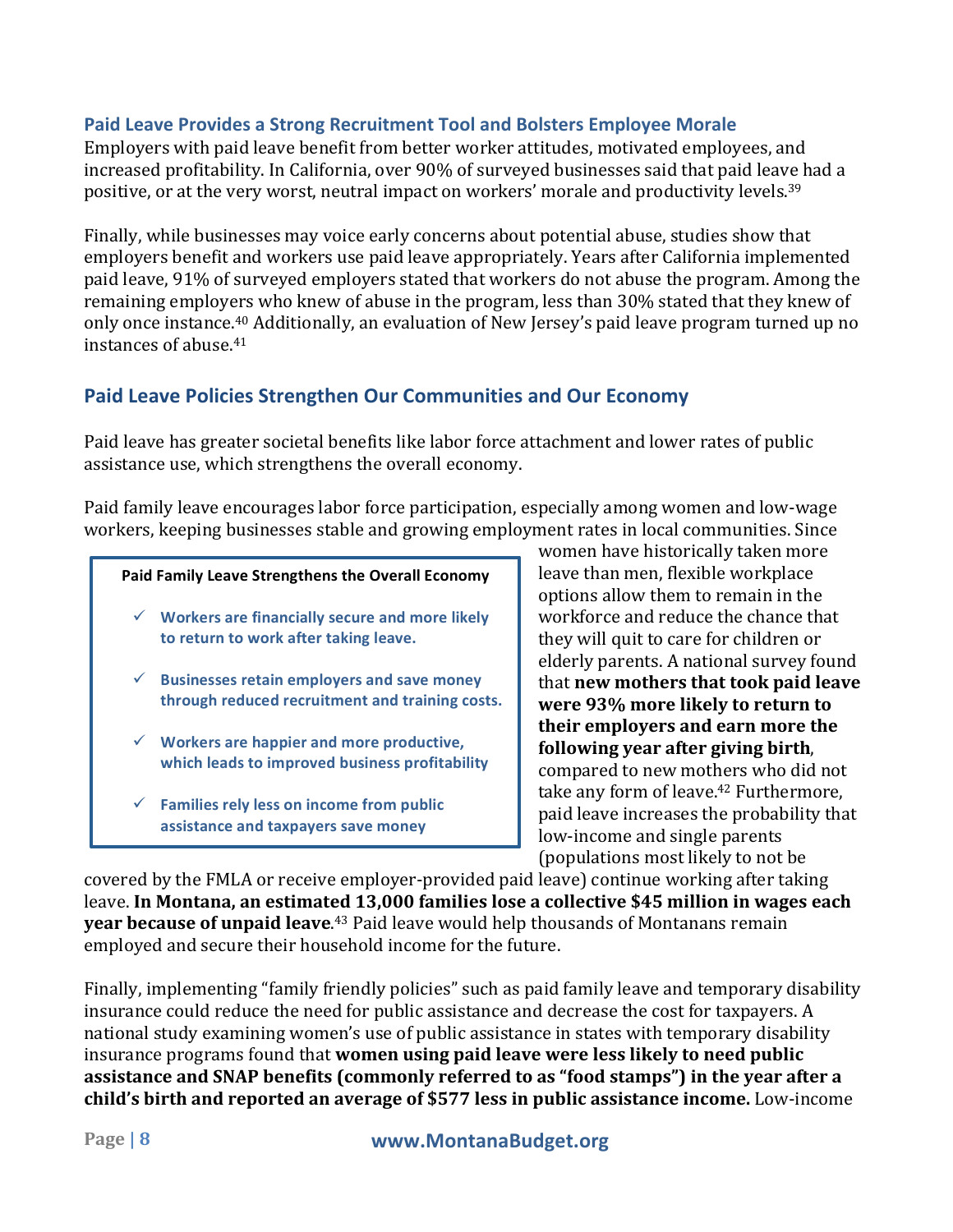#### **Paid Leave Provides a Strong Recruitment Tool and Bolsters Employee Morale**

Employers with paid leave benefit from better worker attitudes, motivated employees, and increased profitability. In California, over 90% of surveyed businesses said that paid leave had a positive, or at the very worst, neutral impact on workers' morale and productivity levels.<sup>39</sup>

Finally, while businesses may voice early concerns about potential abuse, studies show that employers benefit and workers use paid leave appropriately. Years after California implemented paid leave, 91% of surveyed employers stated that workers do not abuse the program. Among the remaining employers who knew of abuse in the program, less than 30% stated that they knew of only once instance.<sup>40</sup> Additionally, an evaluation of New Jersey's paid leave program turned up no instances of abuse.<sup>41</sup>

### **Paid Leave Policies Strengthen Our Communities and Our Economy**

Paid leave has greater societal benefits like labor force attachment and lower rates of public assistance use, which strengthens the overall economy.

Paid family leave encourages labor force participation, especially among women and low-wage workers, keeping businesses stable and growing employment rates in local communities. Since

#### Paid Family Leave Strengthens the Overall Economy

- $\checkmark$  Workers are financially secure and more likely to return to work after taking leave.
- $\checkmark$  Businesses retain employers and save money through reduced recruitment and training costs.
- $\checkmark$  Workers are happier and more productive, which leads to improved business profitability
- $\checkmark$  Families rely less on income from public **assistance and taxpayers save money**

women have historically taken more leave than men, flexible workplace options allow them to remain in the workforce and reduce the chance that they will quit to care for children or elderly parents. A national survey found that **new mothers that took paid leave were** 93% more likely to return to their employers and earn more the **following year after giving birth**, compared to new mothers who did not take any form of leave.<sup>42</sup> Furthermore, paid leave increases the probability that low-income and single parents (populations most likely to not be

covered by the FMLA or receive employer-provided paid leave) continue working after taking leave. In Montana, an estimated 13,000 families lose a collective \$45 million in wages each **year because of unpaid leave**.<sup>43</sup> Paid leave would help thousands of Montanans remain employed and secure their household income for the future.

Finally, implementing "family friendly policies" such as paid family leave and temporary disability insurance could reduce the need for public assistance and decrease the cost for taxpayers. A national study examining women's use of public assistance in states with temporary disability insurance programs found that **women using paid leave were less likely to need public assistance and SNAP benefits (commonly referred to as "food stamps") in the year after a child's birth and reported an average of \$577 less in public assistance income.** Low-income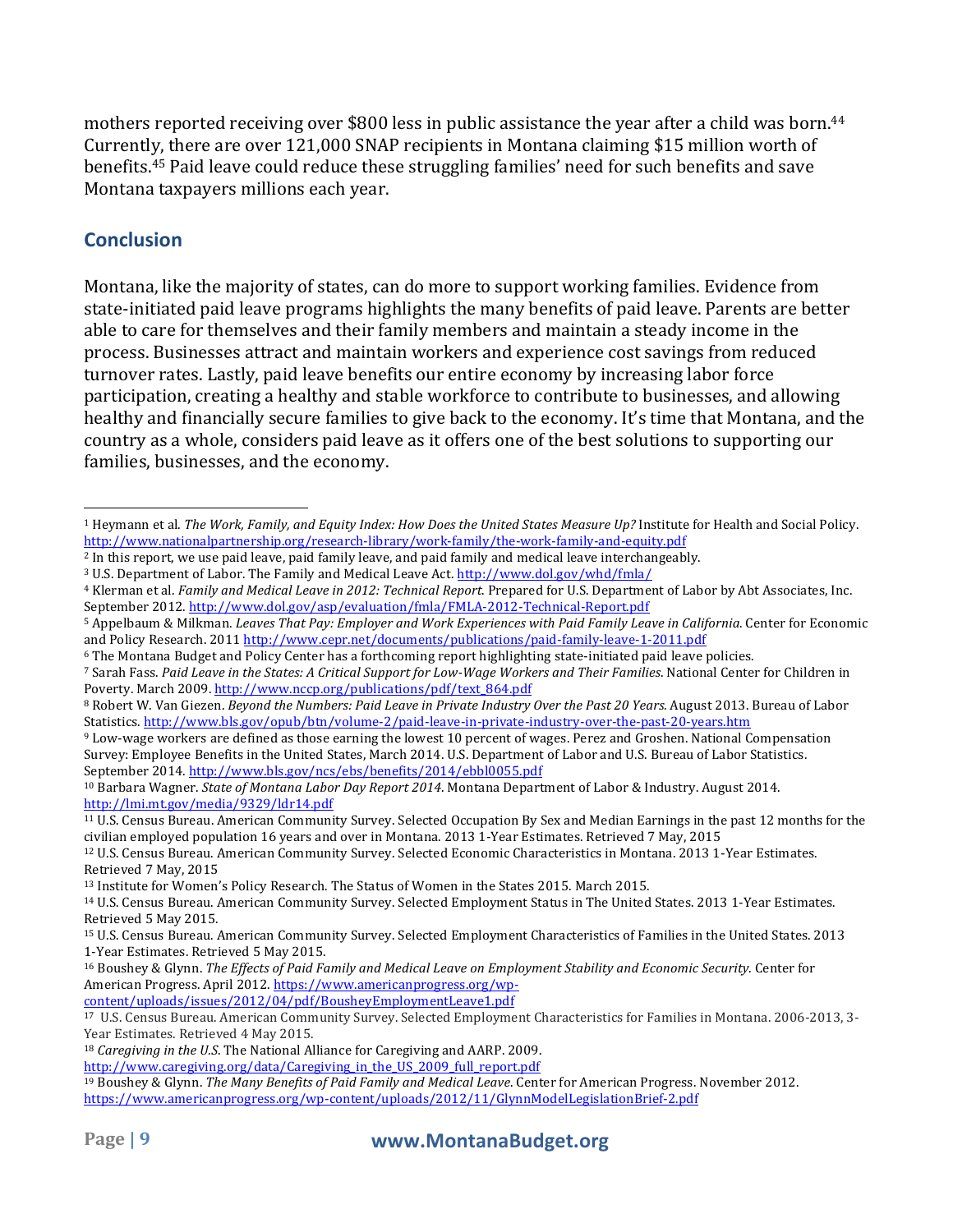mothers reported receiving over \$800 less in public assistance the year after a child was born.<sup>44</sup> Currently, there are over 121,000 SNAP recipients in Montana claiming \$15 million worth of benefits.<sup>45</sup> Paid leave could reduce these struggling families' need for such benefits and save Montana taxpayers millions each year.

## **Conclusion**

Montana, like the majority of states, can do more to support working families. Evidence from state-initiated paid leave programs highlights the many benefits of paid leave. Parents are better able to care for themselves and their family members and maintain a steady income in the process. Businesses attract and maintain workers and experience cost savings from reduced turnover rates. Lastly, paid leave benefits our entire economy by increasing labor force participation, creating a healthy and stable workforce to contribute to businesses, and allowing healthy and financially secure families to give back to the economy. It's time that Montana, and the country as a whole, considers paid leave as it offers one of the best solutions to supporting our families, businesses, and the economy.

content/uploads/issues/2012/04/pdf/BousheyEmploymentLeave1.pdf

 <sup>1</sup> Heymann et al. *The Work, Family, and Equity Index: How Does the United States Measure Up?* Institute for Health and Social Policy. http://www.nationalpartnership.org/research-library/work-family/the-work-family-and-equity.pdf

<sup>&</sup>lt;sup>2</sup> In this report, we use paid leave, paid family leave, and paid family and medical leave interchangeably.

<sup>&</sup>lt;sup>3</sup> U.S. Department of Labor. The Family and Medical Leave Act. http://www.dol.gov/whd/fmla/

<sup>&</sup>lt;sup>4</sup> Klerman et al. *Family and Medical Leave in 2012: Technical Report*. Prepared for U.S. Department of Labor by Abt Associates, Inc. September 2012. http://www.dol.gov/asp/evaluation/fmla/FMLA-2012-Technical-Report.pdf

<sup>5</sup> Appelbaum & Milkman. *Leaves That Pay: Employer and Work Experiences with Paid Family Leave in California*. Center for Economic and Policy Research. 2011 http://www.cepr.net/documents/publications/paid-family-leave-1-2011.pdf

<sup>&</sup>lt;sup>6</sup> The Montana Budget and Policy Center has a forthcoming report highlighting state-initiated paid leave policies.

<sup>7</sup> Sarah Fass. Paid Leave in the States: A Critical Support for Low-Wage Workers and Their Families. National Center for Children in Poverty. March 2009. http://www.nccp.org/publications/pdf/text\_864.pdf

<sup>&</sup>lt;sup>8</sup> Robert W. Van Giezen. *Beyond the Numbers: Paid Leave in Private Industry Over the Past 20 Years. August 2013. Bureau of Labor* Statistics. http://www.bls.gov/opub/btn/volume-2/paid-leave-in-private-industry-over-the-past-20-years.htm

<sup>&</sup>lt;sup>9</sup> Low-wage workers are defined as those earning the lowest 10 percent of wages. Perez and Groshen. National Compensation Survey: Employee Benefits in the United States, March 2014. U.S. Department of Labor and U.S. Bureau of Labor Statistics. September 2014. http://www.bls.gov/ncs/ebs/benefits/2014/ebbl0055.pdf

<sup>&</sup>lt;sup>10</sup> Barbara Wagner. *State of Montana Labor Day Report 2014*. Montana Department of Labor & Industry. August 2014. http://lmi.mt.gov/media/9329/ldr14.pdf

<sup>&</sup>lt;sup>11</sup> U.S. Census Bureau. American Community Survey. Selected Occupation By Sex and Median Earnings in the past 12 months for the civilian employed population 16 years and over in Montana. 2013 1-Year Estimates. Retrieved 7 May, 2015

<sup>&</sup>lt;sup>12</sup> U.S. Census Bureau. American Community Survey. Selected Economic Characteristics in Montana. 2013 1-Year Estimates. Retrieved 7 May, 2015

<sup>&</sup>lt;sup>13</sup> Institute for Women's Policy Research. The Status of Women in the States 2015. March 2015.

<sup>&</sup>lt;sup>14</sup> U.S. Census Bureau. American Community Survey. Selected Employment Status in The United States. 2013 1-Year Estimates. Retrieved 5 May 2015.

<sup>&</sup>lt;sup>15</sup> U.S. Census Bureau. American Community Survey. Selected Employment Characteristics of Families in the United States. 2013 1-Year Estimates. Retrieved 5 May 2015.

<sup>&</sup>lt;sup>16</sup> Boushey & Glynn. The Effects of Paid Family and Medical Leave on Employment Stability and Economic Security. Center for American Progress. April 2012. https://www.americanprogress.org/wp-

<sup>&</sup>lt;sup>17</sup> U.S. Census Bureau. American Community Survey. Selected Employment Characteristics for Families in Montana. 2006-2013, 3-Year Estimates. Retrieved 4 May 2015.

<sup>&</sup>lt;sup>18</sup> *Caregiving in the U.S.* The National Alliance for Caregiving and AARP. 2009.

http://www.caregiving.org/data/Caregiving\_in\_the\_US\_2009\_full\_report.pdf

<sup>&</sup>lt;sup>19</sup> Boushey & Glynn. *The Many Benefits of Paid Family and Medical Leave*. Center for American Progress. November 2012. https://www.americanprogress.org/wp-content/uploads/2012/11/GlynnModelLegislationBrief-2.pdf